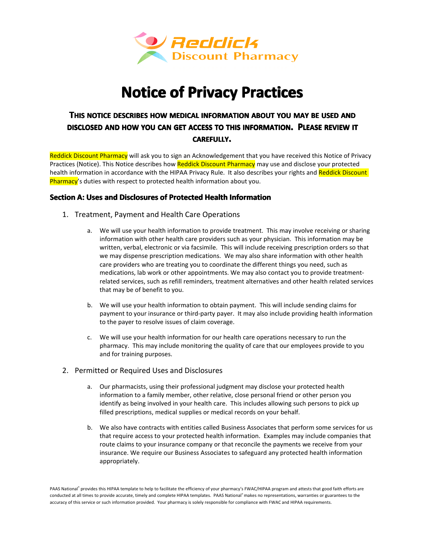

# **Notice of Privacy Practices**

# THIS NOTICE DESCRIBES HOW MEDICAL INFORMATION ABOUT YOU MAY BE USED AND **DISCLOSED DISCLOSEDAND HOW YOU CAN GET ACCESS TO THIS INFORMATION INFORMATIONINFORMATION. PLEASE REVIEW IT CAREFULLY CAREFULLY.**

Reddick Discount Pharmacy will ask you to sign an Acknowledgement that you have received this Notice of Privacy Practices (Notice). This Notice describes how Reddick Discount Pharmacy may use and disclose your protected health information in accordance with the HIPAA Privacy Rule. It also describes your rights and Reddick Discount Pharmacy's duties with respect to protected health information about you.

# **Section SectionA: Uses and Disclosures Disclosuresof Protected ProtectedHealth Information Information**

- 1. Treatment, Payment and Health Care Operations
	- a. We will use your health information to provide treatment. This may involve receiving or sharing information with other health care providers such as your physician. This information may be written, verbal, electronic or via facsimile. This will include receiving prescription orders so that we may dispense prescription medications. We may also share information with other health care providers who are treating you to coordinate the different things you need, such as medications, lab work or other appointments. We may also contact you to provide treatmentrelated services, such as refill reminders, treatment alternatives and other health related services that may be of benefit to you.
	- b. We will use your health information to obtain payment. This will include sending claims for payment to your insurance or third-party payer. It may also include providing health information to the payer to resolve issues of claim coverage.
	- c. We will use your health information for our health care operations necessary to run the pharmacy. This may include monitoring the quality of care that our employees provide to you and for training purposes.
- 2. Permitted or Required Uses and Disclosures
	- a. Our pharmacists, using their professional judgment may disclose your protected health information to <sup>a</sup> family member, other relative, close personal friend or other person you identify as being involved in your health care. This includes allowing such persons to pick up filled prescriptions, medical supplies or medical records on your behalf.
	- b. We also have contracts with entities called Business Associates that perform some services for us that require access to your protected health information. Examples may include companies that route claims to your insurance company or that reconcile the payments we receive from your insurance. We require our Business Associates to safeguard any protected health information appropriately.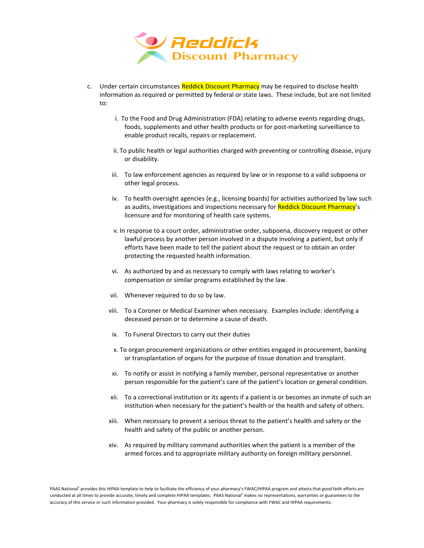

- c. Under certain circumstances Reddick Discount Pharmacy may be required to disclose health information as required or permitted by federal or state laws. These include, but are not limited to:
	- i. To the Food and Drug Administration (FDA) relating to adverse events regarding drugs, foods, supplements and other health products or for post-marketing surveillance to enable product recalls, repairs or replacement.
	- ii. To public health or legal authorities charged with preventing or controlling disease, injury or disability.
	- iii. To law enforcement agencies as required by law or in response to <sup>a</sup> valid subpoena or other legal process.
	- iv. To health oversight agencies (e.g., licensing boards) for activities authorized by law such as audits, investigations and inspections necessary for Reddick Discount Pharmacy's licensure and for monitoring of health care systems.
	- v. In response to <sup>a</sup> court order, administrative order, subpoena, discovery request or other lawful process by another person involved in <sup>a</sup> dispute involving <sup>a</sup> patient, but only if efforts have been made to tell the patient about the request or to obtain an order protecting the requested health information.
	- vi. As authorized by and as necessary to comply with laws relating to worker's compensation or similar programs established by the law.
	- vii. Whenever required to do so by law.
	- viii. To <sup>a</sup> Coroner or Medical Examiner when necessary. Examples include: identifying <sup>a</sup> deceased person or to determine <sup>a</sup> cause of death.
	- ix. To Funeral Directors to carry out their duties
	- x. To organ procurement organizations or other entities engaged in procurement, banking or transplantation of organs for the purpose of tissue donation and transplant.
	- xi. To notify or assist in notifying <sup>a</sup> family member, personal representative or another person responsible for the patient's care of the patient's location or general condition.
	- xii. To <sup>a</sup> correctional institution or its agents if <sup>a</sup> patient is or becomes aninmate of suchan institution when necessary for the patient's health or the health and safety of others.
	- xiii. When necessary to prevent <sup>a</sup> serious threat to the patient's health and safety or the health and safety of the public or another person.
	- xiv. As required by military command authorities when the patient is <sup>a</sup> member of the armed forces and to appropriate military authority on foreign military personnel.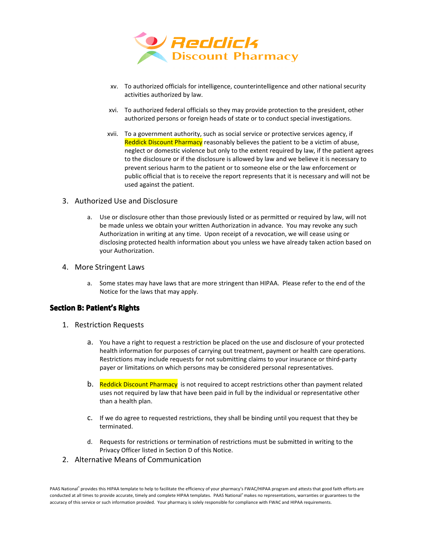

- xv. To authorized officials for intelligence, counterintelligence and other national security activities authorized by law.
- xvi. To authorized federal officials so they may provide protection to the president, other authorized persons or foreign heads of state or to conduct special investigations.
- xvii. To <sup>a</sup> government authority, such as social service or protective services agency, if Reddick Discount Pharmacy reasonably believes the patient to be a victim of abuse, neglect or domestic violence but only to the extent required by law, if the patient agrees to the disclosure or if the disclosure is allowed by law and we believe it is necessary to prevent serious harm to the patient or to someone else or the law enforcement or public official that is to receive the report represents that it is necessary and will not be used against the patient.

#### 3. Authorized Use and Disclosure

a. Use or disclosure other than those previously listed or as permitted or required by law, will not be made unless we obtain your written Authorization in advance. You may revoke any such Authorization in writing at any time. Upon receipt of <sup>a</sup> revocation, we will cease using or disclosing protected health information about you unless we have already taken action based on your Authorization.

#### 4. More Stringent Laws

a. Some states may have laws that are more stringent than HIPAA. Please refer to the end of the Notice for the laws that may apply.

#### **Section B: Patient's Rights**

- 1. Restriction Requests
	- a. You have <sup>a</sup> right to request <sup>a</sup> restriction be placed on the use and disclosure of your protected health information for purposes of carrying out treatment, payment or health care operations. Restrictions may include requests for not submitting claims to your insurance or third-party payer or limitations on which persons may be considered personal representatives.
	- b. Reddick Discount Pharmacy is not required to accept restrictions other than payment related uses not required by law that have been paid in full by the individual orrepresentative other than <sup>a</sup> health plan.
	- c. If we do agree to requested restrictions, they shall be binding until you request that they be terminated.
	- d. Requests for restrictions or termination of restrictions must be submitted in writing to the Privacy Officer listed in Section D of this Notice.
- 2. Alternative Means of Communication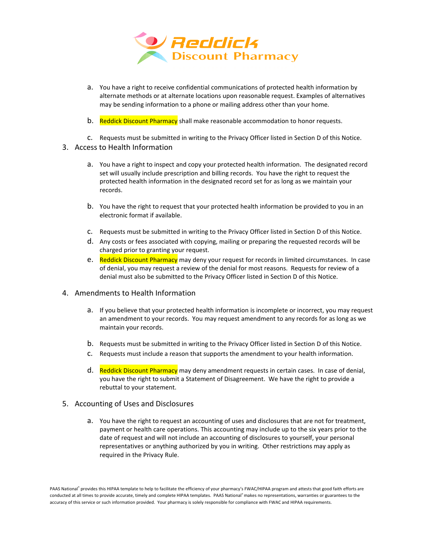

- a. You have <sup>a</sup> right to receive confidential communications of protected health information by alternate methods or at alternate locations upon reasonable request. Examples of alternatives may be sending information to <sup>a</sup> phone or mailing address other than your home.
- b. Reddick Discount Pharmacy shall make reasonable accommodation to honor requests.
- c. Requests must be submitted in writing to the Privacy Officer listed in Section Dof this Notice.
- 3. Access to Health Information
	- a. You have a right to inspect and copy your protected health information. The designated record set will usually include prescription and billing records. You have the right to request the protected health information in the designated record set for as long as we maintain your records.
	- b. You have the right to request that your protected health information be provided to you in an electronic format if available.
	- c. Requests must be submitted in writing to the Privacy Officer listed in Section Dof this Notice.
	- d. Any costs or fees associated with copying, mailing or preparing the requested records will be charged prior to granting your request.
	- e. Reddick Discount Pharmacy may deny your request for records in limited circumstances. In case of denial, you may request <sup>a</sup> review of the denial for most reasons. Requests for review of <sup>a</sup> denial must also be submitted to the Privacy Officer listed in Section D of this Notice.
- 4. Amendments to Health Information
	- a. If you believe that your protected health information is incomplete or incorrect, you may request an amendment to your records. You may request amendment to any records for as long as we maintain your records.
	- b. Requests must be submitted in writing to the Privacy Officer listed in Section Dof this Notice.
	- c. Requests must include <sup>a</sup> reason that supports the amendment to your health information.
	- d. Reddick Discount Pharmacy may deny amendment requests in certain cases. In case of denial, you have the right to submit <sup>a</sup> Statement of Disagreement. We have the right to provide <sup>a</sup> rebuttal to your statement.
- 5. Accounting of Uses and Disclosures
	- a. You have the right to request an accounting of uses and disclosures that are not for treatment, payment or health care operations. This accounting may include up to the six years prior to the date of request andwill not include an accounting of disclosures to yourself, your personal representatives or anything authorized by you in writing. Other restrictions may apply as required in the Privacy Rule.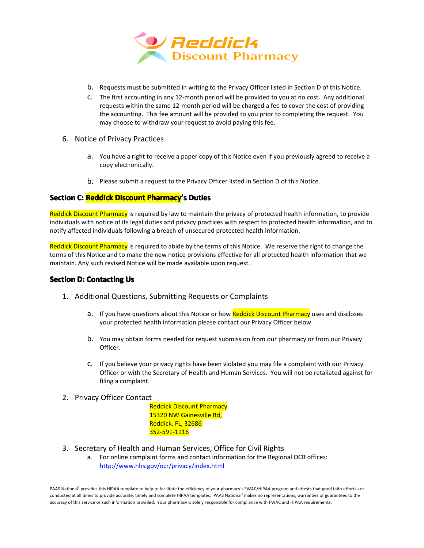

- b. Requests must be submitted in writing to the Privacy Officer listed in Section Dof this Notice.
- c. The first accounting in any 12-month period will be provided to you at no cost. Any additional requests within the same 12-month period will be charged <sup>a</sup> fee to cover the cost of providing the accounting. This fee amount will be provided to you prior to completing the request. You may choose to withdraw your request to avoid paying this fee.
- 6. Notice of Privacy Practices
	- a. You have <sup>a</sup> right to receive <sup>a</sup> paper copy of this Notice even if you previously agreed to receive <sup>a</sup> copy electronically.
	- b. Please submit a request to the Privacy Officer listed in Section D of this Notice.

## **Section C: Reddick Discount Pharmacy's Duties**

Reddick Discount Pharmacy is required by law to maintain the privacy of protected health information, to provide individuals with notice of its legal duties and privacy practices with respect to protected health information, and to notify affected individuals following <sup>a</sup> breach of unsecured protected health information.

Reddick Discount Pharmacy is required to abide by the terms of this Notice. We reserve the right to change the terms of this Notice and to make the new notice provisions effective for all protected health information that we maintain. Any such revised Notice will be made available upon request.

## **Section D: Contacting Us**

- 1. Additional Questions, Submitting Requests or Complaints
	- a. If you have questions about this Notice or how Reddick Discount Pharmacy uses and discloses your protected health information please contact our Privacy Officer below.
	- b. You may obtain forms needed for request submission from our pharmacy or from our Privacy Officer.
	- c. If you believe your privacy rights have been violated you may file <sup>a</sup> complaint with our Privacy Officer or with the Secretary of Health and Human Services. You will not be retaliated against for filing <sup>a</sup> complaint.
- 2. Privacy Officer Contact
	- Reddick Discount Pharmacy 15320 NW Gainesville Rd, Reddick, FL, 32686 352-591-1116
- 3. Secretary of Health and Human Services, Office for Civil Rights
	- a. For online complaint forms and contact information for the Regional OCR offices: <http://www.hhs.gov/ocr/privacy/index.html>